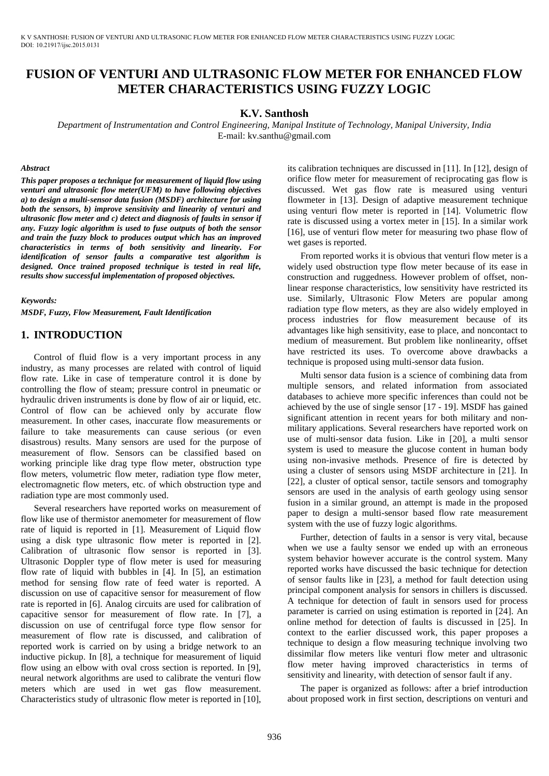K V SANTHOSH: FUSION OF VENTURI AND ULTRASONIC FLOW METER FOR ENHANCED FLOW METER CHARACTERISTICS USING FUZZY LOGIC DOI: 10.21917/ijsc.2015.0131

# **FUSION OF VENTURI AND ULTRASONIC FLOW METER FOR ENHANCED FLOW METER CHARACTERISTICS USING FUZZY LOGIC**

### **K.V. Santhosh**

*Department of Instrumentation and Control Engineering, Manipal Institute of Technology, Manipal University, India*  E-mail: kv.santhu@gmail.com

#### *Abstract*

*This paper proposes a technique for measurement of liquid flow using venturi and ultrasonic flow meter(UFM) to have following objectives a) to design a multi-sensor data fusion (MSDF) architecture for using both the sensors, b) improve sensitivity and linearity of venturi and ultrasonic flow meter and c) detect and diagnosis of faults in sensor if any. Fuzzy logic algorithm is used to fuse outputs of both the sensor and train the fuzzy block to produces output which has an improved characteristics in terms of both sensitivity and linearity. For identification of sensor faults a comparative test algorithm is designed. Once trained proposed technique is tested in real life, results show successful implementation of proposed objectives.* 

*Keywords:* 

*MSDF, Fuzzy, Flow Measurement, Fault Identification* 

# **1. INTRODUCTION**

Control of fluid flow is a very important process in any industry, as many processes are related with control of liquid flow rate. Like in case of temperature control it is done by controlling the flow of steam; pressure control in pneumatic or hydraulic driven instruments is done by flow of air or liquid, etc. Control of flow can be achieved only by accurate flow measurement. In other cases, inaccurate flow measurements or failure to take measurements can cause serious (or even disastrous) results. Many sensors are used for the purpose of measurement of flow. Sensors can be classified based on working principle like drag type flow meter, obstruction type flow meters, volumetric flow meter, radiation type flow meter, electromagnetic flow meters, etc. of which obstruction type and radiation type are most commonly used.

Several researchers have reported works on measurement of flow like use of thermistor anemometer for measurement of flow rate of liquid is reported in [1]. Measurement of Liquid flow using a disk type ultrasonic flow meter is reported in [2]. Calibration of ultrasonic flow sensor is reported in [3]. Ultrasonic Doppler type of flow meter is used for measuring flow rate of liquid with bubbles in [4]. In [5], an estimation method for sensing flow rate of feed water is reported. A discussion on use of capacitive sensor for measurement of flow rate is reported in [6]. Analog circuits are used for calibration of capacitive sensor for measurement of flow rate. In [7], a discussion on use of centrifugal force type flow sensor for measurement of flow rate is discussed, and calibration of reported work is carried on by using a bridge network to an inductive pickup. In [8], a technique for measurement of liquid flow using an elbow with oval cross section is reported. In [9], neural network algorithms are used to calibrate the venturi flow meters which are used in wet gas flow measurement. Characteristics study of ultrasonic flow meter is reported in [10],

its calibration techniques are discussed in [11]. In [12], design of orifice flow meter for measurement of reciprocating gas flow is discussed. Wet gas flow rate is measured using venturi flowmeter in [13]. Design of adaptive measurement technique using venturi flow meter is reported in [14]. Volumetric flow rate is discussed using a vortex meter in [15]. In a similar work [16], use of venturi flow meter for measuring two phase flow of wet gases is reported.

From reported works it is obvious that venturi flow meter is a widely used obstruction type flow meter because of its ease in construction and ruggedness. However problem of offset, nonlinear response characteristics, low sensitivity have restricted its use. Similarly, Ultrasonic Flow Meters are popular among radiation type flow meters, as they are also widely employed in process industries for flow measurement because of its advantages like high sensitivity, ease to place, and noncontact to medium of measurement. But problem like nonlinearity, offset have restricted its uses. To overcome above drawbacks a technique is proposed using multi-sensor data fusion.

Multi sensor data fusion is a science of combining data from multiple sensors, and related information from associated databases to achieve more specific inferences than could not be achieved by the use of single sensor [17 - 19]. MSDF has gained significant attention in recent years for both military and nonmilitary applications. Several researchers have reported work on use of multi-sensor data fusion. Like in [20], a multi sensor system is used to measure the glucose content in human body using non-invasive methods. Presence of fire is detected by using a cluster of sensors using MSDF architecture in [21]. In [22], a cluster of optical sensor, tactile sensors and tomography sensors are used in the analysis of earth geology using sensor fusion in a similar ground, an attempt is made in the proposed paper to design a multi-sensor based flow rate measurement system with the use of fuzzy logic algorithms.

Further, detection of faults in a sensor is very vital, because when we use a faulty sensor we ended up with an erroneous system behavior however accurate is the control system. Many reported works have discussed the basic technique for detection of sensor faults like in [23], a method for fault detection using principal component analysis for sensors in chillers is discussed. A technique for detection of fault in sensors used for process parameter is carried on using estimation is reported in [24]. An online method for detection of faults is discussed in [25]. In context to the earlier discussed work, this paper proposes a technique to design a flow measuring technique involving two dissimilar flow meters like venturi flow meter and ultrasonic flow meter having improved characteristics in terms of sensitivity and linearity, with detection of sensor fault if any.

The paper is organized as follows: after a brief introduction about proposed work in first section, descriptions on venturi and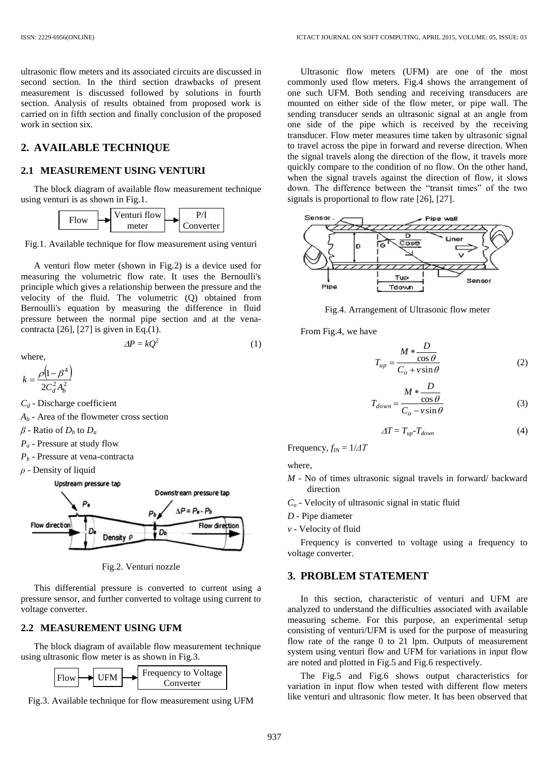ultrasonic flow meters and its associated circuits are discussed in second section. In the third section drawbacks of present measurement is discussed followed by solutions in fourth section. Analysis of results obtained from proposed work is carried on in fifth section and finally conclusion of the proposed work in section six.

# **2. AVAILABLE TECHNIQUE**

### **2.1 MEASUREMENT USING VENTURI**

The block diagram of available flow measurement technique using venturi is as shown in Fig.1.



Fig.1. Available technique for flow measurement using venturi

A venturi flow meter (shown in Fig.2) is a device used for measuring the volumetric flow rate. It uses the Bernoulli's principle which gives a relationship between the pressure and the velocity of the fluid. The volumetric (Q) obtained from Bernoulli's equation by measuring the difference in fluid pressure between the normal pipe section and at the venacontracta [26], [27] is given in Eq.(1).

$$
\Delta P = kQ^2 \tag{1}
$$

where,

$$
k = \frac{\rho \left(1 - \beta^4\right)}{2C_d^2 A_b^2}
$$

*C<sup>d</sup>* - Discharge coefficient

- $A_b$  Area of the flowmeter cross section
- $\beta$  Ratio of  $D_b$  to  $D_a$
- *P<sup>a</sup>* Pressure at study flow
- *P<sup>b</sup>* Pressure at vena-contracta
- *ρ* Density of liquid

#### Upstream pressure tap



Fig.2. Venturi nozzle

This differential pressure is converted to current using a pressure sensor, and further converted to voltage using current to voltage converter.

#### **2.2 MEASUREMENT USING UFM**

The block diagram of available flow measurement technique using ultrasonic flow meter is as shown in Fig.3.



Fig.3. Available technique for flow measurement using UFM

Ultrasonic flow meters (UFM) are one of the most commonly used flow meters. Fig.4 shows the arrangement of one such UFM. Both sending and receiving transducers are mounted on either side of the flow meter, or pipe wall. The sending transducer sends an ultrasonic signal at an angle from one side of the pipe which is received by the receiving transducer. Flow meter measures time taken by ultrasonic signal to travel across the pipe in forward and reverse direction. When the signal travels along the direction of the flow, it travels more quickly compare to the condition of no flow. On the other hand, when the signal travels against the direction of flow, it slows down. The difference between the "transit times" of the two signals is proportional to flow rate [26], [27].



Fig.4. Arrangement of Ultrasonic flow meter

From Fig.4, we have

$$
T_{up} = \frac{M * \frac{D}{\cos \theta}}{C_o + v \sin \theta}
$$
 (2)

$$
T_{down} = \frac{M * \frac{D}{\cos \theta}}{C_o - v \sin \theta}
$$
 (3)

$$
\Delta T = T_{up} - T_{down} \tag{4}
$$

Frequency,  $f_{IN} = 1/\Delta T$ 

where,

- *M* No of times ultrasonic signal travels in forward/ backward direction
- *C<sup>o</sup>* Velocity of ultrasonic signal in static fluid
- *D* Pipe diameter
- *v* Velocity of fluid

Frequency is converted to voltage using a frequency to voltage converter.

# **3. PROBLEM STATEMENT**

In this section, characteristic of venturi and UFM are analyzed to understand the difficulties associated with available measuring scheme. For this purpose, an experimental setup consisting of venturi/UFM is used for the purpose of measuring flow rate of the range 0 to 21 lpm. Outputs of measurement system using venturi flow and UFM for variations in input flow are noted and plotted in Fig.5 and Fig.6 respectively.

The Fig.5 and Fig.6 shows output characteristics for variation in input flow when tested with different flow meters like venturi and ultrasonic flow meter. It has been observed that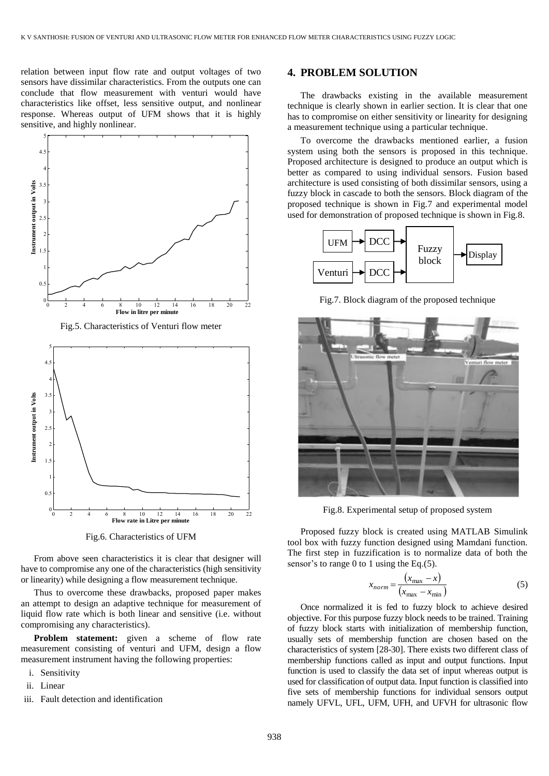relation between input flow rate and output voltages of two sensors have dissimilar characteristics. From the outputs one can conclude that flow measurement with venturi would have characteristics like offset, less sensitive output, and nonlinear response. Whereas output of UFM shows that it is highly sensitive, and highly nonlinear.





Fig.6. Characteristics of UFM

From above seen characteristics it is clear that designer will have to compromise any one of the characteristics (high sensitivity or linearity) while designing a flow measurement technique.

Thus to overcome these drawbacks, proposed paper makes an attempt to design an adaptive technique for measurement of liquid flow rate which is both linear and sensitive (i.e. without compromising any characteristics).

**Problem statement:** given a scheme of flow rate measurement consisting of venturi and UFM, design a flow measurement instrument having the following properties:

- i. Sensitivity
- ii. Linear
- iii. Fault detection and identification

# **4. PROBLEM SOLUTION**

The drawbacks existing in the available measurement technique is clearly shown in earlier section. It is clear that one has to compromise on either sensitivity or linearity for designing a measurement technique using a particular technique.

To overcome the drawbacks mentioned earlier, a fusion system using both the sensors is proposed in this technique. Proposed architecture is designed to produce an output which is better as compared to using individual sensors. Fusion based architecture is used consisting of both dissimilar sensors, using a fuzzy block in cascade to both the sensors. Block diagram of the proposed technique is shown in Fig.7 and experimental model used for demonstration of proposed technique is shown in Fig.8.



Fig.7. Block diagram of the proposed technique



Fig.8. Experimental setup of proposed system

Proposed fuzzy block is created using MATLAB Simulink tool box with fuzzy function designed using Mamdani function. The first step in fuzzification is to normalize data of both the sensor's to range 0 to 1 using the Eq. $(5)$ .

$$
x_{norm} = \frac{(x_{\text{max}} - x)}{(x_{\text{max}} - x_{\text{min}})}
$$
(5)

Once normalized it is fed to fuzzy block to achieve desired objective. For this purpose fuzzy block needs to be trained. Training of fuzzy block starts with initialization of membership function, usually sets of membership function are chosen based on the characteristics of system [28-30]. There exists two different class of membership functions called as input and output functions. Input function is used to classify the data set of input whereas output is used for classification of output data. Input function is classified into five sets of membership functions for individual sensors output namely UFVL, UFL, UFM, UFH, and UFVH for ultrasonic flow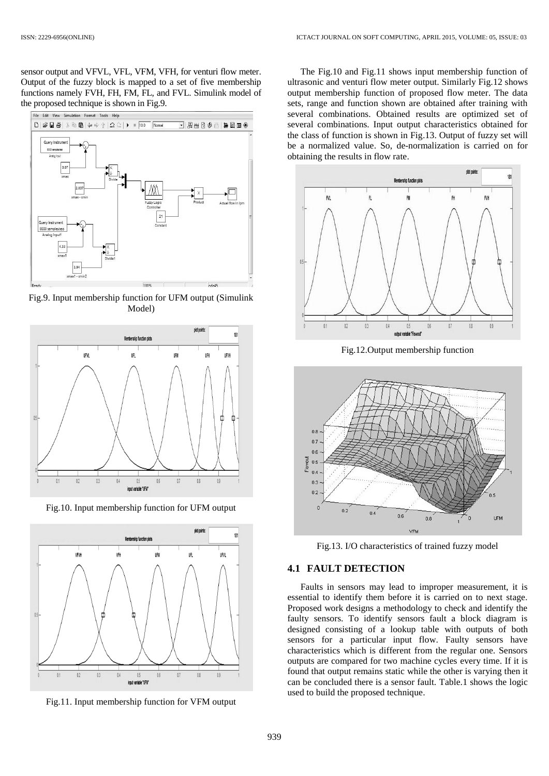sensor output and VFVL, VFL, VFM, VFH, for venturi flow meter. Output of the fuzzy block is mapped to a set of five membership functions namely FVH, FH, FM, FL, and FVL. Simulink model of the proposed technique is shown in Fig.9.



Fig.9. Input membership function for UFM output (Simulink Model)



Fig.10. Input membership function for UFM output



Fig.11. Input membership function for VFM output

The Fig.10 and Fig.11 shows input membership function of ultrasonic and venturi flow meter output. Similarly Fig.12 shows output membership function of proposed flow meter. The data sets, range and function shown are obtained after training with several combinations. Obtained results are optimized set of several combinations. Input output characteristics obtained for the class of function is shown in Fig.13. Output of fuzzy set will be a normalized value. So, de-normalization is carried on for obtaining the results in flow rate.



Fig.12.Output membership function



Fig.13. I/O characteristics of trained fuzzy model

## **4.1 FAULT DETECTION**

Faults in sensors may lead to improper measurement, it is essential to identify them before it is carried on to next stage. Proposed work designs a methodology to check and identify the faulty sensors. To identify sensors fault a block diagram is designed consisting of a lookup table with outputs of both sensors for a particular input flow. Faulty sensors have characteristics which is different from the regular one. Sensors outputs are compared for two machine cycles every time. If it is found that output remains static while the other is varying then it can be concluded there is a sensor fault. Table.1 shows the logic used to build the proposed technique.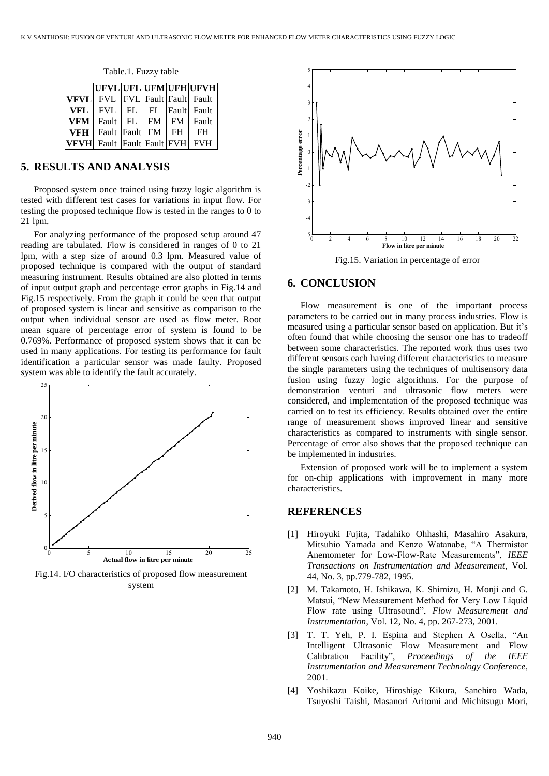|            |                                       |  | UFVL UFL UFM UFH UFVH |
|------------|---------------------------------------|--|-----------------------|
|            | <b>VFVL</b> FVL FVL Fault Fault Fault |  |                       |
| <b>VFL</b> | FVL   FL   FL   Fault  Fault          |  |                       |
|            | $VFM$ Fault FL FM                     |  | FM Fault              |
|            | VFH   Fault   Fault   FM   FH         |  | FH                    |
|            | <b>VFVH</b> Fault Fault Fault FVH FVH |  |                       |

Table.1. Fuzzy table

# **5. RESULTS AND ANALYSIS**

Proposed system once trained using fuzzy logic algorithm is tested with different test cases for variations in input flow. For testing the proposed technique flow is tested in the ranges to 0 to 21 lpm.

For analyzing performance of the proposed setup around 47 reading are tabulated. Flow is considered in ranges of 0 to 21 lpm, with a step size of around 0.3 lpm. Measured value of proposed technique is compared with the output of standard measuring instrument. Results obtained are also plotted in terms of input output graph and percentage error graphs in Fig.14 and Fig.15 respectively. From the graph it could be seen that output of proposed system is linear and sensitive as comparison to the output when individual sensor are used as flow meter. Root mean square of percentage error of system is found to be 0.769%. Performance of proposed system shows that it can be used in many applications. For testing its performance for fault identification a particular sensor was made faulty. Proposed system was able to identify the fault accurately.



Fig.14. I/O characteristics of proposed flow measurement system



Fig.15. Variation in percentage of error

# **6. CONCLUSION**

Flow measurement is one of the important process parameters to be carried out in many process industries. Flow is measured using a particular sensor based on application. But it's often found that while choosing the sensor one has to tradeoff between some characteristics. The reported work thus uses two different sensors each having different characteristics to measure the single parameters using the techniques of multisensory data fusion using fuzzy logic algorithms. For the purpose of demonstration venturi and ultrasonic flow meters were considered, and implementation of the proposed technique was carried on to test its efficiency. Results obtained over the entire range of measurement shows improved linear and sensitive characteristics as compared to instruments with single sensor. Percentage of error also shows that the proposed technique can be implemented in industries.

Extension of proposed work will be to implement a system for on-chip applications with improvement in many more characteristics.

### **REFERENCES**

- [1] Hiroyuki Fujita, Tadahiko Ohhashi, Masahiro Asakura, Mitsuhio Yamada and Kenzo Watanabe, "A Thermistor Anemometer for Low-Flow-Rate Measurements", *IEEE Transactions on Instrumentation and Measurement*, Vol. 44, No. 3, pp.779-782, 1995.
- [2] M. Takamoto, H. Ishikawa, K. Shimizu, H. Monji and G. Matsui, "New Measurement Method for Very Low Liquid Flow rate using Ultrasound", *Flow Measurement and Instrumentation*, Vol. 12, No. 4, pp. 267-273, 2001.
- [3] T. T. Yeh, P. I. Espina and Stephen A Osella, "An Intelligent Ultrasonic Flow Measurement and Flow Calibration Facility", *Proceedings of the IEEE Instrumentation and Measurement Technology Conference*, 2001.
- [4] Yoshikazu Koike, Hiroshige Kikura, Sanehiro Wada, Tsuyoshi Taishi, Masanori Aritomi and Michitsugu Mori,